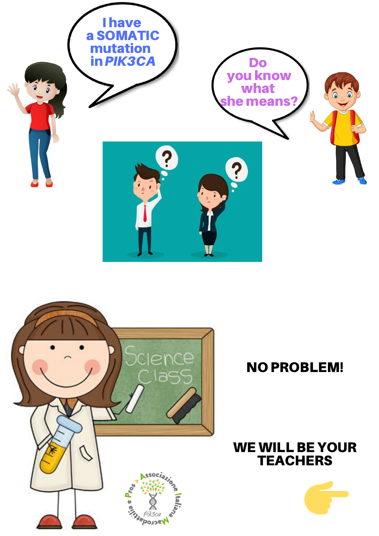



WE WILL BE YOUR

# NO PROBLEM!

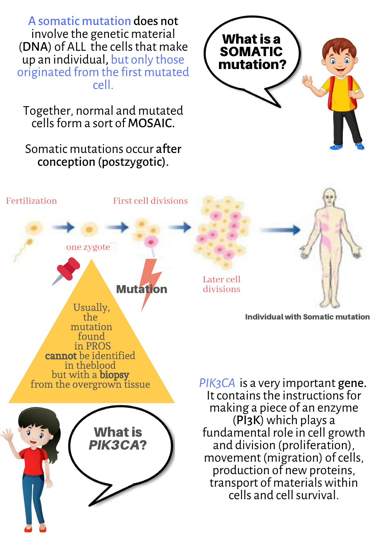A somatic mutation does not involve the genetic material (DNA) of ALL the cells that make up an individual, but only those originated from the first mutated cell.

Together, normal and mutated cells form a sort of **MOSAIC**.

Somatic mutations occur after conception (postzygotic).



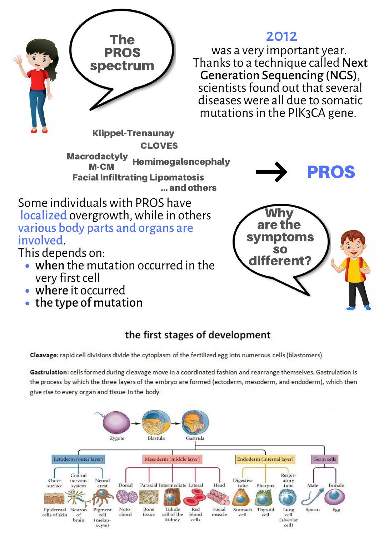

2012

was a very important year. Thanks to a technique called Next Generation Sequencing (NGS), scientists found out that several diseaseswere all due to somatic mutations in the PIK3CA gene.

... and others **Macrodactyly** M-CM Facial Infiltrating Lipomatosis Hemimegalencephaly **PROS** Klippel-Trenaunay **CLOVES** 

Some individualswith PROS have localized overgrowth, while in others various body parts and organs are involved.

This depends on:

- when the mutation occurred in the  $\bigcup_{i=1}^{\infty}$  different? very first cell
- where it occurred
- $\bullet$  the type of mutation



## the first stages of development

Cleavage: rapid cell divisions divide the cytoplasm of the fertilized egg into numerous cells (blastomers)

Gastrulation: cells formed during cleavage move in a coordinated fashion and rearrange themselves. Gastrulation is the process by which the three layers of the embryo are formed (ectoderm, mesoderm, and endoderm), which then give rise to every organ and tissue in the body

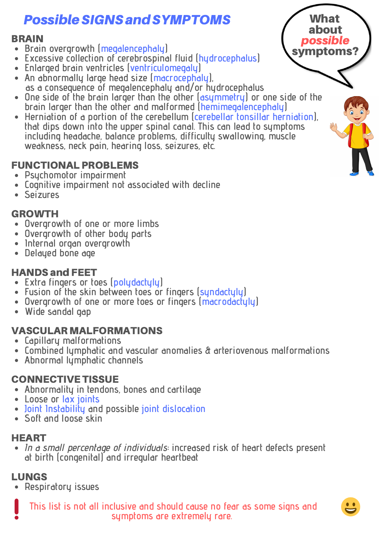# Possible SIGNS and SYMPTOMS

#### BRAIN

- Brain overgrowth (megalencephaly) symptoms?
- **Excessive collection of cerebrospinal fluid (hydrocephalus)**
- **Enlarged brain ventricles (ventriculomegaly)**
- **An abnormally large head size (macrocephaly), as a consequence of megalencephaly and/or hydrocephalus**
- **One side of the brain larger than the other (asymmetry) or one side of the brain larger than the other and malformed (hemimegalencephaly)**
- **Herniation of a portion of the cerebellum (cerebellar tonsillar herniation), that dips down into the upper spinal canal. This can lead to symptoms including headache, balance problems, difficulty swallowing, muscle weakness, neck pain, hearing loss, seizures, etc.**

### FUNCTIONAL PROBLEMS

- **Psychomotor impairment**
- **Cognitive impairment not associated with decline**
- **Seizures**

#### GROWTH

- **Overgrowth of one or more limbs**
- **Overgrowth of other body parts**
- **Internal organ overgrowth**
- **Delayed bone age**

### HANDS and FEET

- **Extra fingers or toes (polydactyly)**
- **Fusion of the skin between toes or fingers (syndactyly)**
- **Overgrowth of one or more toes or fingers (macrodactyly)**
- **Wide sandal gap**

#### VASCULAR MALFORMATIONS

- **Capillary malformations**
- **Combined lymphatic and vascular anomalies & arteriovenous malformations**
- **Abnormal lymphatic channels**

#### CONNECTIVE TISSUE

- **Abnormality in tendons, bones and cartilage**
- **Loose or lax joints**
- **Joint Instability and possible joint dislocation**
- **Soft and loose skin**

### HEART

In a small percentage of individuals**: increased risk of heart defects present at birth (congenital) and irregular heartbeat**

## LUNGS

**Respiratory issues**

**This list is not all inclusive and should cause no fear as some signs and symptoms are extremely rare.**



about possible

What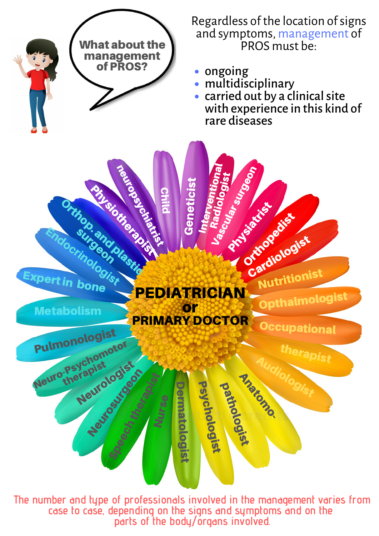

**The number and type of professionals involved in the management varies from case to case, depending on the signs and symptoms and on the parts of the body/organs involved.**